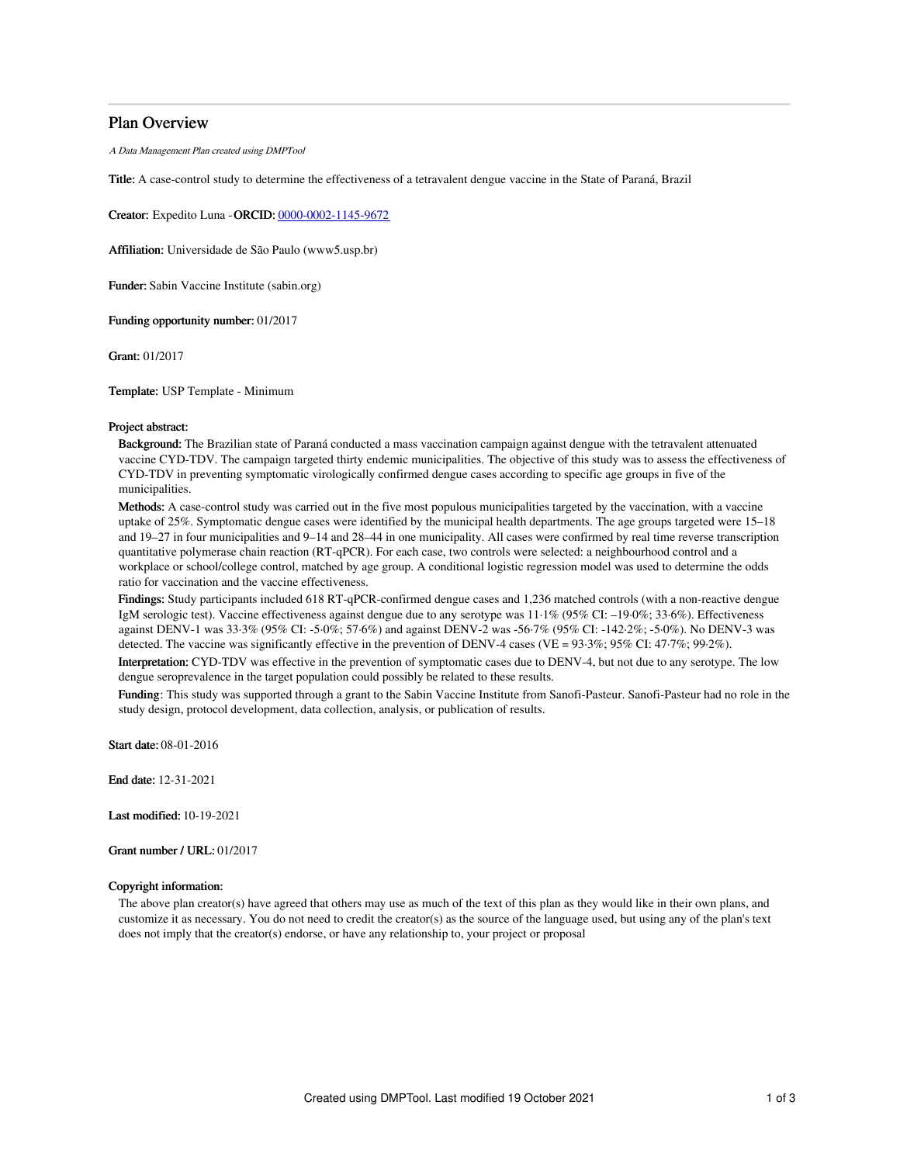### Plan Overview

A Data Management Plan created using DMPTool

Title: A case-control study to determine the effectiveness of a tetravalent dengue vaccine in the State of Paraná, Brazil

Creator: Expedito Luna -ORCID: [0000-0002-1145-9672](https://orcid.org/0000-0002-1145-9672)

Affiliation: Universidade de São Paulo (www5.usp.br)

Funder: Sabin Vaccine Institute (sabin.org)

Funding opportunity number: 01/2017

Grant: 01/2017

Template: USP Template - Minimum

#### Project abstract:

Background: The Brazilian state of Paraná conducted a mass vaccination campaign against dengue with the tetravalent attenuated vaccine CYD-TDV. The campaign targeted thirty endemic municipalities. The objective of this study was to assess the effectiveness of CYD-TDV in preventing symptomatic virologically confirmed dengue cases according to specific age groups in five of the municipalities.

Methods: A case-control study was carried out in the five most populous municipalities targeted by the vaccination, with a vaccine uptake of 25%. Symptomatic dengue cases were identified by the municipal health departments. The age groups targeted were 15–18 and 19–27 in four municipalities and 9–14 and 28–44 in one municipality. All cases were confirmed by real time reverse transcription quantitative polymerase chain reaction (RT-qPCR). For each case, two controls were selected: a neighbourhood control and a workplace or school/college control, matched by age group. A conditional logistic regression model was used to determine the odds ratio for vaccination and the vaccine effectiveness.

Findings: Study participants included 618 RT-qPCR-confirmed dengue cases and 1,236 matched controls (with a non-reactive dengue IgM serologic test). Vaccine effectiveness against dengue due to any serotype was 11·1% (95% CI: –19·0%; 33·6%). Effectiveness against DENV-1 was 33·3% (95% CI: -5·0%; 57·6%) and against DENV-2 was -56·7% (95% CI: -142·2%; -5·0%). No DENV-3 was detected. The vaccine was significantly effective in the prevention of DENV-4 cases (VE =  $93.3\%$ ;  $95\%$  CI:  $47.7\%$ ;  $99.2\%$ ).

Interpretation: CYD-TDV was effective in the prevention of symptomatic cases due to DENV-4, but not due to any serotype. The low dengue seroprevalence in the target population could possibly be related to these results.

Funding: This study was supported through a grant to the Sabin Vaccine Institute from Sanofi-Pasteur. Sanofi-Pasteur had no role in the study design, protocol development, data collection, analysis, or publication of results.

Start date: 08-01-2016

End date: 12-31-2021

Last modified: 10-19-2021

Grant number / URL: 01/2017

#### Copyright information:

The above plan creator(s) have agreed that others may use as much of the text of this plan as they would like in their own plans, and customize it as necessary. You do not need to credit the creator(s) as the source of the language used, but using any of the plan's text does not imply that the creator(s) endorse, or have any relationship to, your project or proposal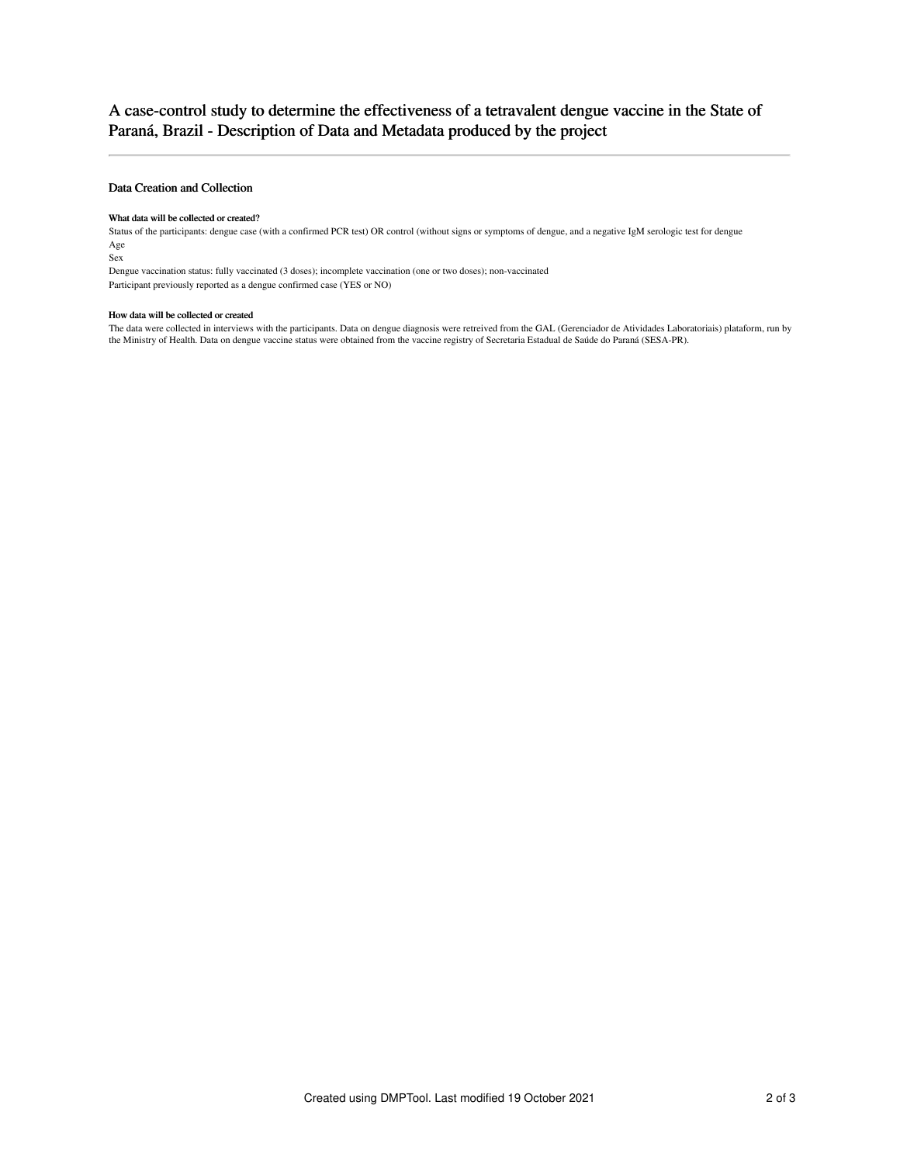# A case-control study to determine the effectiveness of a tetravalent dengue vaccine in the State of Paraná, Brazil - Description of Data and Metadata produced by the project

## Data Creation and Collection

#### What data will be collected or created?

Status of the participants: dengue case (with a confirmed PCR test) OR control (without signs or symptoms of dengue, and a negative IgM serologic test for dengue Age

Sex

Dengue vaccination status: fully vaccinated (3 doses); incomplete vaccination (one or two doses); non-vaccinated Participant previously reported as a dengue confirmed case (YES or NO)

#### How data will be collected or created

The data were collected in interviews with the participants. Data on dengue diagnosis were retreived from the GAL (Gerenciador de Atividades Laboratoriais) plataform, run by the Ministry of Health. Data on dengue vaccine status were obtained from the vaccine registry of Secretaria Estadual de Saúde do Paraná (SESA-PR).